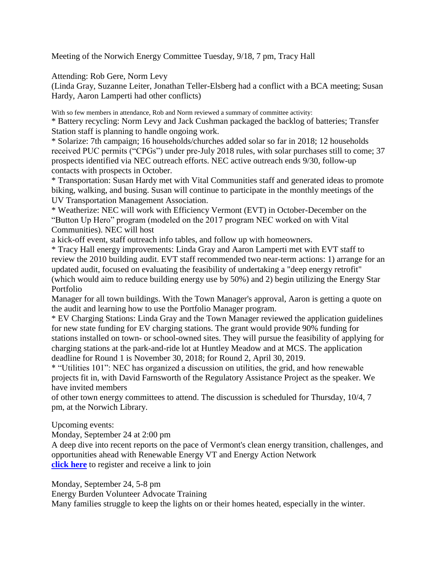Meeting of the Norwich Energy Committee Tuesday, 9/18, 7 pm, Tracy Hall

Attending: Rob Gere, Norm Levy

(Linda Gray, Suzanne Leiter, Jonathan Teller-Elsberg had a conflict with a BCA meeting; Susan Hardy, Aaron Lamperti had other conflicts)

With so few members in attendance, Rob and Norm reviewed a summary of committee activity:

\* Battery recycling: Norm Levy and Jack Cushman packaged the backlog of batteries; Transfer Station staff is planning to handle ongoing work.

\* Solarize: 7th campaign; 16 households/churches added solar so far in 2018; 12 households received PUC permits ("CPGs") under pre-July 2018 rules, with solar purchases still to come; 37 prospects identified via NEC outreach efforts. NEC active outreach ends 9/30, follow-up contacts with prospects in October.

\* Transportation: Susan Hardy met with Vital Communities staff and generated ideas to promote biking, walking, and busing. Susan will continue to participate in the monthly meetings of the UV Transportation Management Association.

\* Weatherize: NEC will work with Efficiency Vermont (EVT) in October-December on the "Button Up Hero" program (modeled on the 2017 program NEC worked on with Vital Communities). NEC will host

a kick-off event, staff outreach info tables, and follow up with homeowners.

\* Tracy Hall energy improvements: Linda Gray and Aaron Lamperti met with EVT staff to review the 2010 building audit. EVT staff recommended two near-term actions: 1) arrange for an updated audit, focused on evaluating the feasibility of undertaking a "deep energy retrofit" (which would aim to reduce building energy use by 50%) and 2) begin utilizing the Energy Star Portfolio

Manager for all town buildings. With the Town Manager's approval, Aaron is getting a quote on the audit and learning how to use the Portfolio Manager program.

\* EV Charging Stations: Linda Gray and the Town Manager reviewed the application guidelines for new state funding for EV charging stations. The grant would provide 90% funding for stations installed on town- or school-owned sites. They will pursue the feasibility of applying for charging stations at the park-and-ride lot at Huntley Meadow and at MCS. The application deadline for Round 1 is November 30, 2018; for Round 2, April 30, 2019.

\* "Utilities 101": NEC has organized a discussion on utilities, the grid, and how renewable projects fit in, with David Farnsworth of the Regulatory Assistance Project as the speaker. We have invited members

of other town energy committees to attend. The discussion is scheduled for Thursday, 10/4, 7 pm, at the Norwich Library.

Upcoming events:

Monday, September 24 at 2:00 pm

A deep dive into recent reports on the pace of Vermont's clean energy transition, challenges, and opportunities ahead with Renewable Energy VT and Energy Action Network **[click here](https://revermont.nationbuilder.com/r?u=FHnL8ikUv8WviObJjkW8kTR7ozFiVSYhzSu-2EwIkQA-DgldDq-rrR1NpRzUMScJXGkhFjRbKqXWuFUJztezJH2Osj9MFiIQwlT679edaU3n95ggRiQUkWFCYSefsu0qUQJ40fKdzYr-7OtbwRrdoQ&e=6bb5d6ea6b44026963d32f97480dda5d&utm_source=revermont&utm_medium=email&utm_campaign=ean_report_webinar_from_rev&n=8)** to register and receive a link to join

Monday, September 24, 5-8 pm

Energy Burden Volunteer Advocate Training

Many families struggle to keep the lights on or their homes heated, especially in the winter.